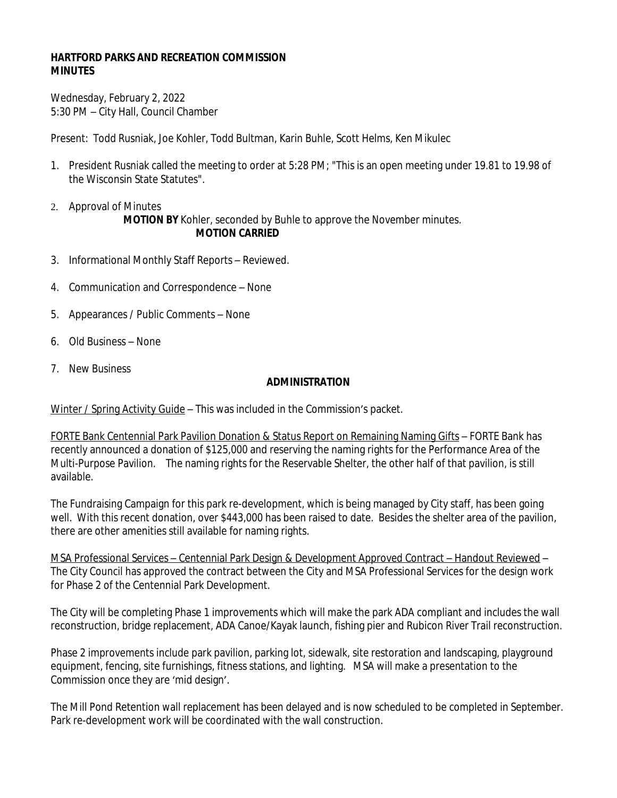## **HARTFORD PARKS AND RECREATION COMMISSION MINUTES**

Wednesday, February 2, 2022 5:30 PM – City Hall, Council Chamber

Present: Todd Rusniak, Joe Kohler, Todd Bultman, Karin Buhle, Scott Helms, Ken Mikulec

- 1. President Rusniak called the meeting to order at 5:28 PM; "This is an open meeting under 19.81 to 19.98 of the Wisconsin State Statutes".
- 2. Approval of Minutes **MOTION BY** Kohler, seconded by Buhle to approve the November minutes. **MOTION CARRIED**
- 3. Informational Monthly Staff Reports Reviewed.
- 4. Communication and Correspondence None
- 5. Appearances / Public Comments None
- 6. Old Business None
- 7. New Business

## **ADMINISTRATION**

Winter / Spring Activity Guide - This was included in the Commission's packet.

FORTE Bank Centennial Park Pavilion Donation & Status Report on Remaining Naming Gifts – FORTE Bank has recently announced a donation of \$125,000 and reserving the naming rights for the Performance Area of the Multi-Purpose Pavilion. The naming rights for the Reservable Shelter, the other half of that pavilion, is still available.

The Fundraising Campaign for this park re-development, which is being managed by City staff, has been going well. With this recent donation, over \$443,000 has been raised to date. Besides the shelter area of the pavilion, there are other amenities still available for naming rights.

MSA Professional Services – Centennial Park Design & Development Approved Contract – Handout Reviewed – The City Council has approved the contract between the City and MSA Professional Services for the design work for Phase 2 of the Centennial Park Development.

The City will be completing Phase 1 improvements which will make the park ADA compliant and includes the wall reconstruction, bridge replacement, ADA Canoe/Kayak launch, fishing pier and Rubicon River Trail reconstruction.

Phase 2 improvements include park pavilion, parking lot, sidewalk, site restoration and landscaping, playground equipment, fencing, site furnishings, fitness stations, and lighting. MSA will make a presentation to the Commission once they are 'mid design'.

The Mill Pond Retention wall replacement has been delayed and is now scheduled to be completed in September. Park re-development work will be coordinated with the wall construction.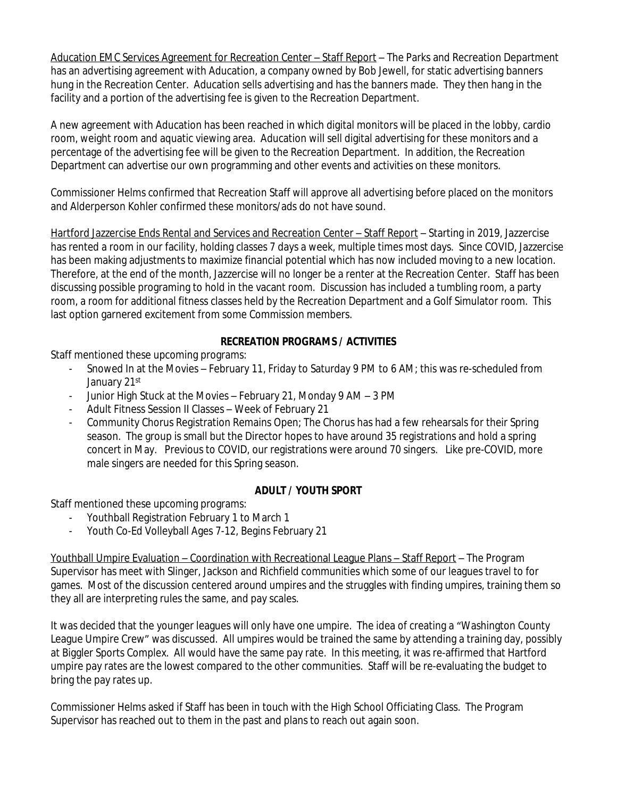Aducation EMC Services Agreement for Recreation Center – Staff Report – The Parks and Recreation Department has an advertising agreement with Aducation, a company owned by Bob Jewell, for static advertising banners hung in the Recreation Center. Aducation sells advertising and has the banners made. They then hang in the facility and a portion of the advertising fee is given to the Recreation Department.

A new agreement with Aducation has been reached in which digital monitors will be placed in the lobby, cardio room, weight room and aquatic viewing area. Aducation will sell digital advertising for these monitors and a percentage of the advertising fee will be given to the Recreation Department. In addition, the Recreation Department can advertise our own programming and other events and activities on these monitors.

Commissioner Helms confirmed that Recreation Staff will approve all advertising before placed on the monitors and Alderperson Kohler confirmed these monitors/ads do not have sound.

Hartford Jazzercise Ends Rental and Services and Recreation Center – Staff Report – Starting in 2019, Jazzercise has rented a room in our facility, holding classes 7 days a week, multiple times most days. Since COVID, Jazzercise has been making adjustments to maximize financial potential which has now included moving to a new location. Therefore, at the end of the month, Jazzercise will no longer be a renter at the Recreation Center. Staff has been discussing possible programing to hold in the vacant room. Discussion has included a tumbling room, a party room, a room for additional fitness classes held by the Recreation Department and a Golf Simulator room. This last option garnered excitement from some Commission members.

## **RECREATION PROGRAMS / ACTIVITIES**

Staff mentioned these upcoming programs:

- Snowed In at the Movies February 11, Friday to Saturday 9 PM to 6 AM; this was re-scheduled from January 21st
- Junior High Stuck at the Movies February 21, Monday 9 AM 3 PM
- Adult Fitness Session II Classes Week of February 21
- Community Chorus Registration Remains Open; The Chorus has had a few rehearsals for their Spring season. The group is small but the Director hopes to have around 35 registrations and hold a spring concert in May. Previous to COVID, our registrations were around 70 singers. Like pre-COVID, more male singers are needed for this Spring season.

# **ADULT / YOUTH SPORT**

Staff mentioned these upcoming programs:

- Youthball Registration February 1 to March 1
- Youth Co-Ed Volleyball Ages 7-12, Begins February 21

Youthball Umpire Evaluation – Coordination with Recreational League Plans – Staff Report – The Program Supervisor has meet with Slinger, Jackson and Richfield communities which some of our leagues travel to for games. Most of the discussion centered around umpires and the struggles with finding umpires, training them so they all are interpreting rules the same, and pay scales.

It was decided that the younger leagues will only have one umpire. The idea of creating a "Washington County League Umpire Crew" was discussed. All umpires would be trained the same by attending a training day, possibly at Biggler Sports Complex. All would have the same pay rate. In this meeting, it was re-affirmed that Hartford umpire pay rates are the lowest compared to the other communities. Staff will be re-evaluating the budget to bring the pay rates up.

Commissioner Helms asked if Staff has been in touch with the High School Officiating Class. The Program Supervisor has reached out to them in the past and plans to reach out again soon.